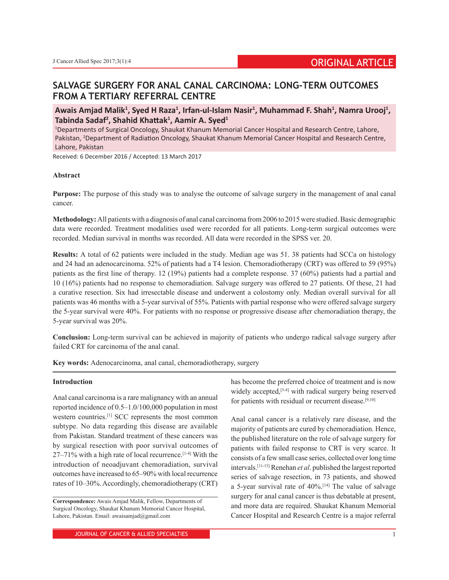# **SALVAGE SURGERY FOR ANAL CANAL CARCINOMA: LONG-TERM OUTCOMES FROM A TERTIARY REFERRAL CENTRE**

Awais Amjad Malik<sup>1</sup>, Syed H Raza<sup>1</sup>, Irfan-ul-Islam Nasir<sup>1</sup>, Muhammad F. Shah<sup>1</sup>, Namra Urooj<sup>1</sup>, **Tabinda Sadaf2 , Shahid Khattak<sup>1</sup> , Aamir A. Syed1**

1 Departments of Surgical Oncology, Shaukat Khanum Memorial Cancer Hospital and Research Centre, Lahore, Pakistan, <sup>2</sup>Department of Radiation Oncology, Shaukat Khanum Memorial Cancer Hospital and Research Centre, Lahore, Pakistan

Received: 6 December 2016 / Accepted: 13 March 2017

### **Abstract**

**Purpose:** The purpose of this study was to analyse the outcome of salvage surgery in the management of anal canal cancer.

**Methodology:** All patients with a diagnosis of anal canal carcinoma from 2006 to 2015 were studied. Basic demographic data were recorded. Treatment modalities used were recorded for all patients. Long-term surgical outcomes were recorded. Median survival in months was recorded. All data were recorded in the SPSS ver. 20.

**Results:** A total of 62 patients were included in the study. Median age was 51. 38 patients had SCCa on histology and 24 had an adenocarcinoma. 52% of patients had a T4 lesion. Chemoradiotherapy (CRT) was offered to 59 (95%) patients as the first line of therapy. 12 (19%) patients had a complete response. 37 (60%) patients had a partial and 10 (16%) patients had no response to chemoradiation. Salvage surgery was offered to 27 patients. Of these, 21 had a curative resection. Six had irresectable disease and underwent a colostomy only. Median overall survival for all patients was 46 months with a 5-year survival of 55%. Patients with partial response who were offered salvage surgery the 5-year survival were 40%. For patients with no response or progressive disease after chemoradiation therapy, the 5-year survival was 20%.

**Conclusion:** Long-term survival can be achieved in majority of patients who undergo radical salvage surgery after failed CRT for carcinoma of the anal canal.

**Key words:** Adenocarcinoma, anal canal, chemoradiotherapy, surgery

### **Introduction**

Anal canal carcinoma is a rare malignancy with an annual reported incidence of 0.5–1.0/100,000 population in most western countries.[1] SCC represents the most common subtype. No data regarding this disease are available from Pakistan. Standard treatment of these cancers was by surgical resection with poor survival outcomes of 27–71% with a high rate of local recurrence.[1-4] With the introduction of neoadjuvant chemoradiation, survival outcomes have increased to 65–90% with local recurrence rates of 10–30%. Accordingly, chemoradiotherapy (CRT)

has become the preferred choice of treatment and is now widely accepted,<sup>[5-8]</sup> with radical surgery being reserved for patients with residual or recurrent disease.<sup>[9,10]</sup>

Anal canal cancer is a relatively rare disease, and the majority of patients are cured by chemoradiation. Hence, the published literature on the role of salvage surgery for patients with failed response to CRT is very scarce. It consists of a few small case series, collected over long time intervals.[11-13] Renehan *et al*. published the largest reported series of salvage resection, in 73 patients, and showed a 5-year survival rate of 40%.[14] The value of salvage surgery for anal canal cancer is thus debatable at present, and more data are required. Shaukat Khanum Memorial Cancer Hospital and Research Centre is a major referral

**Correspondence:** Awais Amjad Malik, Fellow, Departments of Surgical Oncology, Shaukat Khanum Memorial Cancer Hospital, Lahore, Pakistan. Email: awaisamjad@gmail.com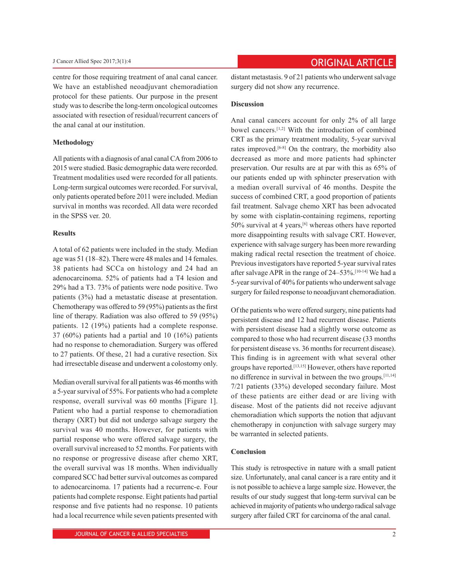centre for those requiring treatment of anal canal cancer. We have an established neoadjuvant chemoradiation protocol for these patients. Our purpose in the present study was to describe the long-term oncological outcomes associated with resection of residual/recurrent cancers of the anal canal at our institution.

#### **Methodology**

All patients with a diagnosis of anal canal CA from 2006 to 2015 were studied. Basic demographic data were recorded. Treatment modalities used were recorded for all patients. Long-term surgical outcomes were recorded. For survival, only patients operated before 2011 were included. Median survival in months was recorded. All data were recorded in the SPSS ver. 20.

## **Results**

A total of 62 patients were included in the study. Median age was 51 (18–82). There were 48 males and 14 females. 38 patients had SCCa on histology and 24 had an adenocarcinoma. 52% of patients had a T4 lesion and 29% had a T3. 73% of patients were node positive. Two patients (3%) had a metastatic disease at presentation. Chemotherapy was offered to 59 (95%) patients as the first line of therapy. Radiation was also offered to 59 (95%) patients. 12 (19%) patients had a complete response. 37 (60%) patients had a partial and 10 (16%) patients had no response to chemoradiation. Surgery was offered to 27 patients. Of these, 21 had a curative resection. Six had irresectable disease and underwent a colostomy only.

Median overall survival for all patients was 46 months with a 5-year survival of 55%. For patients who had a complete response, overall survival was 60 months [Figure 1]. Patient who had a partial response to chemoradiation therapy (XRT) but did not undergo salvage surgery the survival was 40 months. However, for patients with partial response who were offered salvage surgery, the overall survival increased to 52 months. For patients with no response or progressive disease after chemo XRT, the overall survival was 18 months. When individually compared SCC had better survival outcomes as compared to adenocarcinoma. 17 patients had a recurrenc-e. Four patients had complete response. Eight patients had partial response and five patients had no response. 10 patients had a local recurrence while seven patients presented with distant metastasis. 9 of 21 patients who underwent salvage surgery did not show any recurrence.

# **Discussion**

Anal canal cancers account for only 2% of all large bowel cancers.[1,2] With the introduction of combined CRT as the primary treatment modality, 5-year survival rates improved.[6-8] On the contrary, the morbidity also decreased as more and more patients had sphincter preservation. Our results are at par with this as 65% of our patients ended up with sphincter preservation with a median overall survival of 46 months. Despite the success of combined CRT, a good proportion of patients fail treatment. Salvage chemo XRT has been advocated by some with cisplatin-containing regimens, reporting 50% survival at 4 years,[6] whereas others have reported more disappointing results with salvage CRT. However, experience with salvage surgery has been more rewarding making radical rectal resection the treatment of choice. Previous investigators have reported 5-year survival rates after salvage APR in the range of 24–53%.[10-14] We had a 5-year survival of 40% for patients who underwent salvage surgery for failed response to neoadjuvant chemoradiation.

Of the patients who were offered surgery, nine patients had persistent disease and 12 had recurrent disease. Patients with persistent disease had a slightly worse outcome as compared to those who had recurrent disease (33 months for persistent disease vs. 36 months for recurrent disease). This finding is in agreement with what several other groups have reported.[13,15] However, others have reported no difference in survival in between the two groups.[11,14] 7/21 patients (33%) developed secondary failure. Most of these patients are either dead or are living with disease. Most of the patients did not receive adjuvant chemoradiation which supports the notion that adjuvant chemotherapy in conjunction with salvage surgery may be warranted in selected patients.

## **Conclusion**

This study is retrospective in nature with a small patient size. Unfortunately, anal canal cancer is a rare entity and it is not possible to achieve a large sample size. However, the results of our study suggest that long-term survival can be achieved in majority of patients who undergo radical salvage surgery after failed CRT for carcinoma of the anal canal.